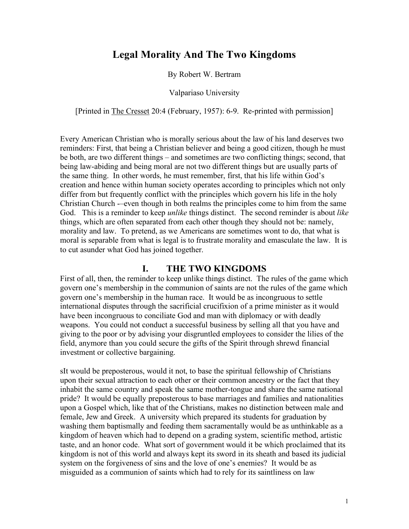# **Legal Morality And The Two Kingdoms**

By Robert W. Bertram

Valpariaso University

[Printed in The Cresset 20:4 (February, 1957): 6-9. Re-printed with permission]

Every American Christian who is morally serious about the law of his land deserves two reminders: First, that being a Christian believer and being a good citizen, though he must be both, are two different things – and sometimes are two conflicting things; second, that being law-abiding and being moral are not two different things but are usually parts of the same thing. In other words, he must remember, first, that his life within God's creation and hence within human society operates according to principles which not only differ from but frequently conflict with the principles which govern his life in the holy Christian Church -–even though in both realms the principles come to him from the same God. This is a reminder to keep *unlike* things distinct. The second reminder is about *like* things, which are often separated from each other though they should not be: namely, morality and law. To pretend, as we Americans are sometimes wont to do, that what is moral is separable from what is legal is to frustrate morality and emasculate the law. It is to cut asunder what God has joined together.

# **I. THE TWO KINGDOMS**

First of all, then, the reminder to keep unlike things distinct. The rules of the game which govern one's membership in the communion of saints are not the rules of the game which govern one's membership in the human race. It would be as incongruous to settle international disputes through the sacrificial crucifixion of a prime minister as it would have been incongruous to conciliate God and man with diplomacy or with deadly weapons. You could not conduct a successful business by selling all that you have and giving to the poor or by advising your disgruntled employees to consider the lilies of the field, anymore than you could secure the gifts of the Spirit through shrewd financial investment or collective bargaining.

sIt would be preposterous, would it not, to base the spiritual fellowship of Christians upon their sexual attraction to each other or their common ancestry or the fact that they inhabit the same country and speak the same mother-tongue and share the same national pride? It would be equally preposterous to base marriages and families and nationalities upon a Gospel which, like that of the Christians, makes no distinction between male and female, Jew and Greek. A university which prepared its students for graduation by washing them baptismally and feeding them sacramentally would be as unthinkable as a kingdom of heaven which had to depend on a grading system, scientific method, artistic taste, and an honor code. What sort of government would it be which proclaimed that its kingdom is not of this world and always kept its sword in its sheath and based its judicial system on the forgiveness of sins and the love of one's enemies? It would be as misguided as a communion of saints which had to rely for its saintliness on law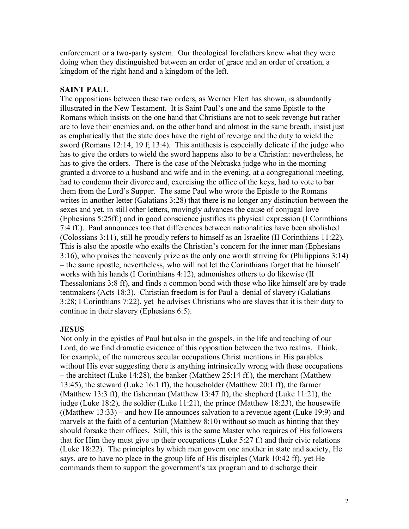enforcement or a two-party system. Our theological forefathers knew what they were doing when they distinguished between an order of grace and an order of creation, a kingdom of the right hand and a kingdom of the left.

# **SAINT PAUL**

The oppositions between these two orders, as Werner Elert has shown, is abundantly illustrated in the New Testament. It is Saint Paul's one and the same Epistle to the Romans which insists on the one hand that Christians are not to seek revenge but rather are to love their enemies and, on the other hand and almost in the same breath, insist just as emphatically that the state does have the right of revenge and the duty to wield the sword (Romans 12:14, 19 f; 13:4). This antithesis is especially delicate if the judge who has to give the orders to wield the sword happens also to be a Christian: nevertheless, he has to give the orders. There is the case of the Nebraska judge who in the morning granted a divorce to a husband and wife and in the evening, at a congregational meeting, had to condemn their divorce and, exercising the office of the keys, had to vote to bar them from the Lord's Supper. The same Paul who wrote the Epistle to the Romans writes in another letter (Galatians 3:28) that there is no longer any distinction between the sexes and yet, in still other letters, movingly advances the cause of conjugal love (Ephesians 5:25ff.) and in good conscience justifies its physical expression (I Corinthians 7:4 ff.). Paul announces too that differences between nationalities have been abolished (Colossians 3:11), still he proudly refers to himself as an Israelite (II Corinthians 11:22). This is also the apostle who exalts the Christian's concern for the inner man (Ephesians 3:16), who praises the heavenly prize as the only one worth striving for (Philippians 3:14) – the same apostle, nevertheless, who will not let the Corinthians forget that he himself works with his hands (I Corinthians 4:12), admonishes others to do likewise (II Thessalonians 3:8 ff), and finds a common bond with those who like himself are by trade tentmakers (Acts 18:3). Christian freedom is for Paul a denial of slavery (Galatians 3:28; I Corinthians 7:22), yet he advises Christians who are slaves that it is their duty to continue in their slavery (Ephesians 6:5).

# **JESUS**

Not only in the epistles of Paul but also in the gospels, in the life and teaching of our Lord, do we find dramatic evidence of this opposition between the two realms. Think, for example, of the numerous secular occupations Christ mentions in His parables without His ever suggesting there is anything intrinsically wrong with these occupations – the architect (Luke 14:28), the banker (Matthew 25:14 ff.), the merchant (Matthew 13:45), the steward (Luke 16:1 ff), the householder (Matthew 20:1 ff), the farmer (Matthew 13:3 ff), the fisherman (Matthew 13:47 ff), the shepherd (Luke 11:21), the judge (Luke 18:2), the soldier (Luke 11:21), the prince (Matthew 18:23), the housewife ((Matthew 13:33) – and how He announces salvation to a revenue agent (Luke 19:9) and marvels at the faith of a centurion (Matthew 8:10) without so much as hinting that they should forsake their offices. Still, this is the same Master who requires of His followers that for Him they must give up their occupations (Luke 5:27 f.) and their civic relations (Luke 18:22). The principles by which men govern one another in state and society, He says, are to have no place in the group life of His disciples (Mark 10:42 ff), yet He commands them to support the government's tax program and to discharge their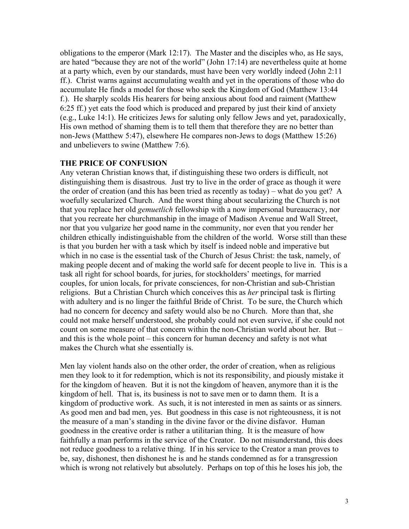obligations to the emperor (Mark 12:17). The Master and the disciples who, as He says, are hated "because they are not of the world" (John 17:14) are nevertheless quite at home at a party which, even by our standards, must have been very worldly indeed (John 2:11 ff.). Christ warns against accumulating wealth and yet in the operations of those who do accumulate He finds a model for those who seek the Kingdom of God (Matthew 13:44 f.). He sharply scolds His hearers for being anxious about food and raiment (Matthew 6:25 ff.) yet eats the food which is produced and prepared by just their kind of anxiety (e.g., Luke 14:1). He criticizes Jews for saluting only fellow Jews and yet, paradoxically, His own method of shaming them is to tell them that therefore they are no better than non-Jews (Matthew 5:47), elsewhere He compares non-Jews to dogs (Matthew 15:26) and unbelievers to swine (Matthew 7:6).

#### **THE PRICE OF CONFUSION**

Any veteran Christian knows that, if distinguishing these two orders is difficult, not distinguishing them is disastrous. Just try to live in the order of grace as though it were the order of creation (and this has been tried as recently as today) – what do you get? A woefully secularized Church. And the worst thing about secularizing the Church is not that you replace her old *gemuetlich* fellowship with a now impersonal bureaucracy, nor that you recreate her churchmanship in the image of Madison Avenue and Wall Street, nor that you vulgarize her good name in the community, nor even that you render her children ethically indistinguishable from the children of the world. Worse still than these is that you burden her with a task which by itself is indeed noble and imperative but which in no case is the essential task of the Church of Jesus Christ: the task, namely, of making people decent and of making the world safe for decent people to live in. This is a task all right for school boards, for juries, for stockholders' meetings, for married couples, for union locals, for private consciences, for non-Christian and sub-Christian religions. But a Christian Church which conceives this as *her* principal task is flirting with adultery and is no linger the faithful Bride of Christ. To be sure, the Church which had no concern for decency and safety would also be no Church. More than that, she could not make herself understood, she probably could not even survive, if she could not count on some measure of that concern within the non-Christian world about her. But – and this is the whole point – this concern for human decency and safety is not what makes the Church what she essentially is.

Men lay violent hands also on the other order, the order of creation, when as religious men they look to it for redemption, which is not its responsibility, and piously mistake it for the kingdom of heaven. But it is not the kingdom of heaven, anymore than it is the kingdom of hell. That is, its business is not to save men or to damn them. It is a kingdom of productive work. As such, it is not interested in men as saints or as sinners. As good men and bad men, yes. But goodness in this case is not righteousness, it is not the measure of a man's standing in the divine favor or the divine disfavor. Human goodness in the creative order is rather a utilitarian thing. It is the measure of how faithfully a man performs in the service of the Creator. Do not misunderstand, this does not reduce goodness to a relative thing. If in his service to the Creator a man proves to be, say, dishonest, then dishonest he is and he stands condemned as for a transgression which is wrong not relatively but absolutely. Perhaps on top of this he loses his job, the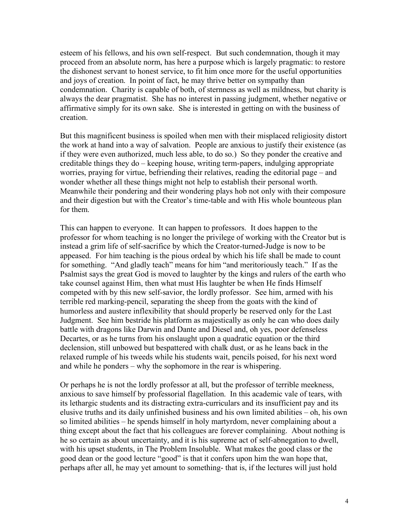esteem of his fellows, and his own self-respect. But such condemnation, though it may proceed from an absolute norm, has here a purpose which is largely pragmatic: to restore the dishonest servant to honest service, to fit him once more for the useful opportunities and joys of creation. In point of fact, he may thrive better on sympathy than condemnation. Charity is capable of both, of sternness as well as mildness, but charity is always the dear pragmatist. She has no interest in passing judgment, whether negative or affirmative simply for its own sake. She is interested in getting on with the business of creation.

But this magnificent business is spoiled when men with their misplaced religiosity distort the work at hand into a way of salvation. People are anxious to justify their existence (as if they were even authorized, much less able, to do so.) So they ponder the creative and creditable things they do – keeping house, writing term-papers, indulging appropriate worries, praying for virtue, befriending their relatives, reading the editorial page – and wonder whether all these things might not help to establish their personal worth. Meanwhile their pondering and their wondering plays hob not only with their composure and their digestion but with the Creator's time-table and with His whole bounteous plan for them.

This can happen to everyone. It can happen to professors. It does happen to the professor for whom teaching is no longer the privilege of working with the Creator but is instead a grim life of self-sacrifice by which the Creator-turned-Judge is now to be appeased. For him teaching is the pious ordeal by which his life shall be made to count for something. "And gladly teach" means for him "and meritoriously teach." If as the Psalmist says the great God is moved to laughter by the kings and rulers of the earth who take counsel against Him, then what must His laughter be when He finds Himself competed with by this new self-savior, the lordly professor. See him, armed with his terrible red marking-pencil, separating the sheep from the goats with the kind of humorless and austere inflexibility that should properly be reserved only for the Last Judgment. See him bestride his platform as majestically as only he can who does daily battle with dragons like Darwin and Dante and Diesel and, oh yes, poor defenseless Decartes, or as he turns from his onslaught upon a quadratic equation or the third declension, still unbowed but bespattered with chalk dust, or as he leans back in the relaxed rumple of his tweeds while his students wait, pencils poised, for his next word and while he ponders – why the sophomore in the rear is whispering.

Or perhaps he is not the lordly professor at all, but the professor of terrible meekness, anxious to save himself by professorial flagellation. In this academic vale of tears, with its lethargic students and its distracting extra-curriculars and its insufficient pay and its elusive truths and its daily unfinished business and his own limited abilities – oh, his own so limited abilities – he spends himself in holy martyrdom, never complaining about a thing except about the fact that his colleagues are forever complaining. About nothing is he so certain as about uncertainty, and it is his supreme act of self-abnegation to dwell, with his upset students, in The Problem Insoluble. What makes the good class or the good dean or the good lecture "good" is that it confers upon him the wan hope that, perhaps after all, he may yet amount to something- that is, if the lectures will just hold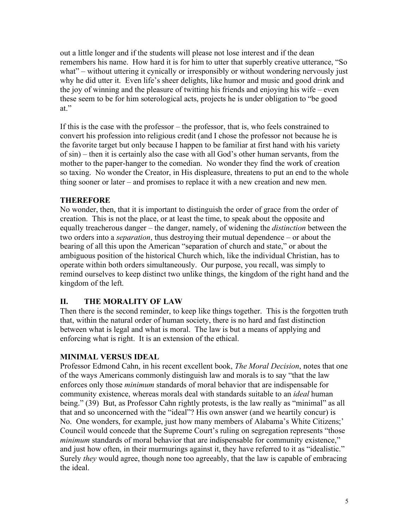out a little longer and if the students will please not lose interest and if the dean remembers his name. How hard it is for him to utter that superbly creative utterance, "So what" – without uttering it cynically or irresponsibly or without wondering nervously just why he did utter it. Even life's sheer delights, like humor and music and good drink and the joy of winning and the pleasure of twitting his friends and enjoying his wife – even these seem to be for him soterological acts, projects he is under obligation to "be good at."

If this is the case with the professor – the professor, that is, who feels constrained to convert his profession into religious credit (and I chose the professor not because he is the favorite target but only because I happen to be familiar at first hand with his variety of sin) – then it is certainly also the case with all God's other human servants, from the mother to the paper-hanger to the comedian. No wonder they find the work of creation so taxing. No wonder the Creator, in His displeasure, threatens to put an end to the whole thing sooner or later – and promises to replace it with a new creation and new men.

# **THEREFORE**

No wonder, then, that it is important to distinguish the order of grace from the order of creation. This is not the place, or at least the time, to speak about the opposite and equally treacherous danger – the danger, namely, of widening the *distinction* between the two orders into a *separation*, thus destroying their mutual dependence – or about the bearing of all this upon the American "separation of church and state," or about the ambiguous position of the historical Church which, like the individual Christian, has to operate within both orders simultaneously. Our purpose, you recall, was simply to remind ourselves to keep distinct two unlike things, the kingdom of the right hand and the kingdom of the left.

# **II. THE MORALITY OF LAW**

Then there is the second reminder, to keep like things together. This is the forgotten truth that, within the natural order of human society, there is no hard and fast distinction between what is legal and what is moral. The law is but a means of applying and enforcing what is right. It is an extension of the ethical.

# **MINIMAL VERSUS IDEAL**

Professor Edmond Cahn, in his recent excellent book, *The Moral Decision*, notes that one of the ways Americans commonly distinguish law and morals is to say "that the law enforces only those *minimum* standards of moral behavior that are indispensable for community existence, whereas morals deal with standards suitable to an *ideal* human being." (39) But, as Professor Cahn rightly protests, is the law really as "minimal" as all that and so unconcerned with the "ideal"? His own answer (and we heartily concur) is No. One wonders, for example, just how many members of Alabama's White Citizens;' Council would concede that the Supreme Court's ruling on segregation represents "those *minimum* standards of moral behavior that are indispensable for community existence," and just how often, in their murmurings against it, they have referred to it as "idealistic." Surely *they* would agree, though none too agreeably, that the law is capable of embracing the ideal.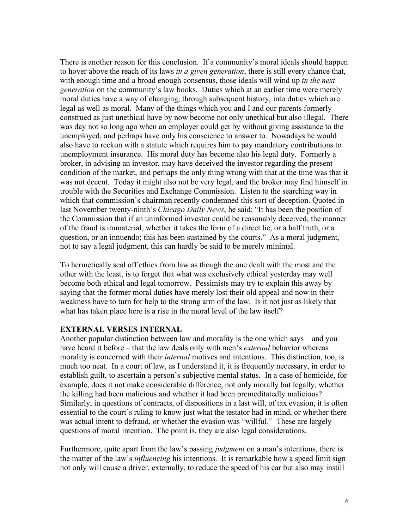There is another reason for this conclusion. If a community's moral ideals should happen to hover above the reach of its laws *in a given generation*, there is still every chance that, with enough time and a broad enough consensus, those ideals will wind up *in the next generation* on the community's law books. Duties which at an earlier time were merely moral duties have a way of changing, through subsequent history, into duties which are legal as well as moral. Many of the things which you and I and our parents formerly construed as just unethical have by now become not only unethical but also illegal. There was day not so long ago when an employer could get by without giving assistance to the unemployed, and perhaps have only his conscience to answer to. Nowadays he would also have to reckon with a statute which requires him to pay mandatory contributions to unemployment insurance. His moral duty has become also his legal duty. Formerly a broker, in advising an investor, may have deceived the investor regarding the present condition of the market, and perhaps the only thing wrong with that at the time was that it was not decent. Today it might also not be very legal, and the broker may find himself in trouble with the Securities and Exchange Commission. Listen to the searching way in which that commission's chairman recently condemned this sort of deception. Quoted in last November twenty-ninth's *Chicago Daily News*, he said: "It has been the position of the Commission that if an uninformed investor could be reasonably deceived, the manner of the fraud is immaterial, whether it takes the form of a direct lie, or a half truth, or a question, or an innuendo; this has been sustained by the courts." As a moral judgment, not to say a legal judgment, this can hardly be said to be merely minimal.

To hermetically seal off ethics from law as though the one dealt with the most and the other with the least, is to forget that what was exclusively ethical yesterday may well become both ethical and legal tomorrow. Pessimists may try to explain this away by saying that the former moral duties have merely lost their old appeal and now in their weakness have to turn for help to the strong arm of the law. Is it not just as likely that what has taken place here is a rise in the moral level of the law itself?

### **EXTERNAL VERSES INTERNAL**

Another popular distinction between law and morality is the one which says – and you have heard it before – that the law deals only with men's *external* behavior whereas morality is concerned with their *internal* motives and intentions. This distinction, too, is much too neat. In a court of law, as I understand it, it is frequently necessary, in order to establish guilt, to ascertain a person's subjective mental status. In a case of homicide, for example, does it not make considerable difference, not only morally but legally, whether the killing had been malicious and whether it had been premeditatedly malicious? Similarly, in questions of contracts, of dispositions in a last will, of tax evasion, it is often essential to the court's ruling to know just what the testator had in mind, or whether there was actual intent to defraud, or whether the evasion was "willful." These are largely questions of moral intention. The point is, they are also legal considerations.

Furthermore, quite apart from the law's passing *judgment* on a man's intentions, there is the matter of the law's *influencing* his intentions. It is remarkable how a speed limit sign not only will cause a driver, externally, to reduce the speed of his car but also may instill